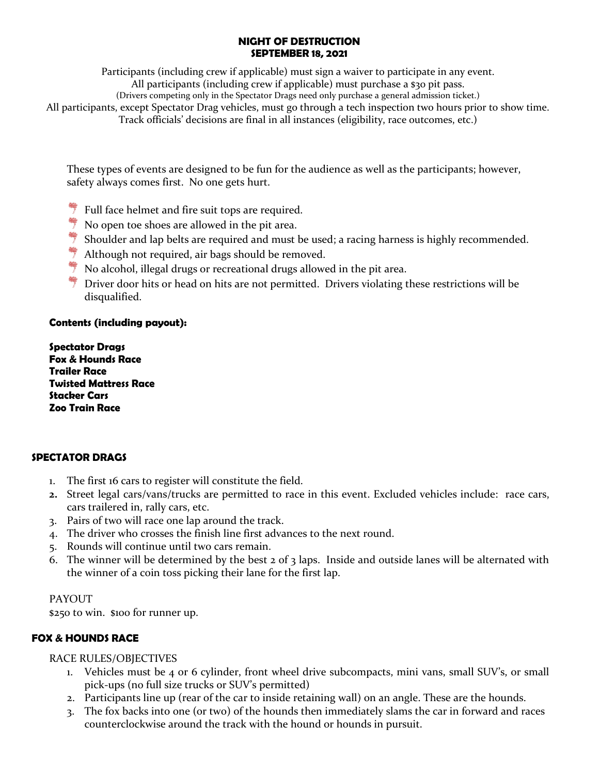### **NIGHT OF DESTRUCTION SEPTEMBER 18, 2021**

Participants (including crew if applicable) must sign a waiver to participate in any event.

All participants (including crew if applicable) must purchase a \$30 pit pass.

(Drivers competing only in the Spectator Drags need only purchase a general admission ticket.)

All participants, except Spectator Drag vehicles, must go through a tech inspection two hours prior to show time. Track officials' decisions are final in all instances (eligibility, race outcomes, etc.)

These types of events are designed to be fun for the audience as well as the participants; however, safety always comes first. No one gets hurt.

- $\frac{4}{7}$  Full face helmet and fire suit tops are required.
- $\frac{4}{7}$  No open toe shoes are allowed in the pit area.
- $\frac{4}{3}$  Shoulder and lap belts are required and must be used; a racing harness is highly recommended.
- $\frac{4}{7}$  Although not required, air bags should be removed.
- $\frac{4}{7}$  No alcohol, illegal drugs or recreational drugs allowed in the pit area.
- $*$  Driver door hits or head on hits are not permitted. Drivers violating these restrictions will be disqualified.

### **Contents (including payout):**

**Spectator Drags Fox & Hounds Race Trailer Race Twisted Mattress Race Stacker Cars Zoo Train Race**

# **SPECTATOR DRAGS**

- 1. The first 16 cars to register will constitute the field.
- **2.** Street legal cars/vans/trucks are permitted to race in this event. Excluded vehicles include: race cars, cars trailered in, rally cars, etc.
- 3. Pairs of two will race one lap around the track.
- 4. The driver who crosses the finish line first advances to the next round.
- 5. Rounds will continue until two cars remain.
- 6. The winner will be determined by the best  $2$  of  $3$  laps. Inside and outside lanes will be alternated with the winner of a coin toss picking their lane for the first lap.

# PAYOUT

\$250 to win. \$100 for runner up.

# **FOX & HOUNDS RACE**

RACE RULES/OBJECTIVES

- 1. Vehicles must be 4 or 6 cylinder, front wheel drive subcompacts, mini vans, small SUV's, or small pick-ups (no full size trucks or SUV's permitted)
- 2. Participants line up (rear of the car to inside retaining wall) on an angle. These are the hounds.
- 3. The fox backs into one (or two) of the hounds then immediately slams the car in forward and races counterclockwise around the track with the hound or hounds in pursuit.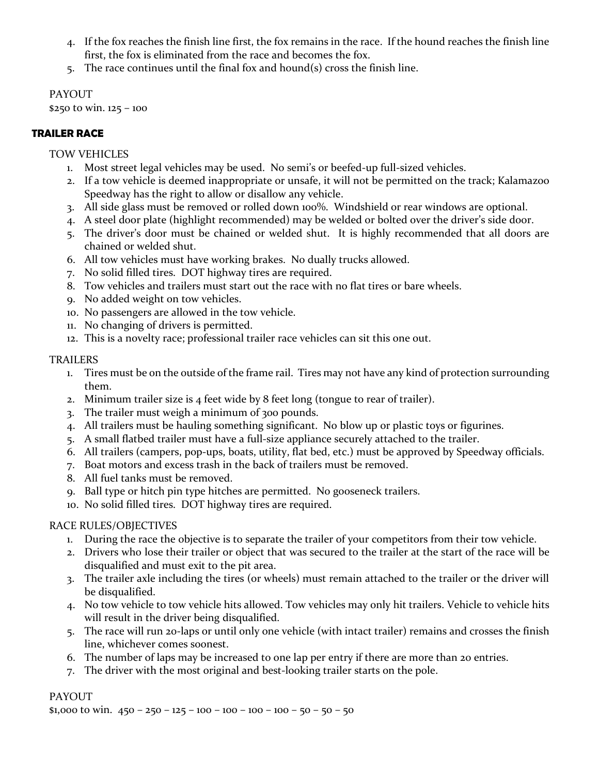- 4. If the fox reaches the finish line first, the fox remains in the race. If the hound reaches the finish line first, the fox is eliminated from the race and becomes the fox.
- 5. The race continues until the final fox and hound(s) cross the finish line.

PAYOUT \$250 to win. 125 – 100

### **TRAILER RACE**

### TOW VEHICLES

- 1. Most street legal vehicles may be used. No semi's or beefed-up full-sized vehicles.
- 2. If a tow vehicle is deemed inappropriate or unsafe, it will not be permitted on the track; Kalamazoo Speedway has the right to allow or disallow any vehicle.
- 3. All side glass must be removed or rolled down 100%. Windshield or rear windows are optional.
- 4. A steel door plate (highlight recommended) may be welded or bolted over the driver's side door.
- 5. The driver's door must be chained or welded shut. It is highly recommended that all doors are chained or welded shut.
- 6. All tow vehicles must have working brakes. No dually trucks allowed.
- 7. No solid filled tires. DOT highway tires are required.
- 8. Tow vehicles and trailers must start out the race with no flat tires or bare wheels.
- 9. No added weight on tow vehicles.
- 10. No passengers are allowed in the tow vehicle.
- 11. No changing of drivers is permitted.
- 12. This is a novelty race; professional trailer race vehicles can sit this one out.

#### TRAILERS

- 1. Tires must be on the outside of the frame rail. Tires may not have any kind of protection surrounding them.
- 2. Minimum trailer size is 4 feet wide by 8 feet long (tongue to rear of trailer).
- 3. The trailer must weigh a minimum of 300 pounds.
- 4. All trailers must be hauling something significant. No blow up or plastic toys or figurines.
- 5. A small flatbed trailer must have a full-size appliance securely attached to the trailer.
- 6. All trailers (campers, pop-ups, boats, utility, flat bed, etc.) must be approved by Speedway officials.
- 7. Boat motors and excess trash in the back of trailers must be removed.
- 8. All fuel tanks must be removed.
- 9. Ball type or hitch pin type hitches are permitted. No gooseneck trailers.
- 10. No solid filled tires. DOT highway tires are required.

### RACE RULES/OBJECTIVES

- 1. During the race the objective is to separate the trailer of your competitors from their tow vehicle.
- 2. Drivers who lose their trailer or object that was secured to the trailer at the start of the race will be disqualified and must exit to the pit area.
- 3. The trailer axle including the tires (or wheels) must remain attached to the trailer or the driver will be disqualified.
- 4. No tow vehicle to tow vehicle hits allowed. Tow vehicles may only hit trailers. Vehicle to vehicle hits will result in the driver being disqualified.
- 5. The race will run 20-laps or until only one vehicle (with intact trailer) remains and crosses the finish line, whichever comes soonest.
- 6. The number of laps may be increased to one lap per entry if there are more than 20 entries.
- 7. The driver with the most original and best-looking trailer starts on the pole.

### **PAYOUT**

\$1,000 to win.  $450 - 250 - 125 - 100 - 100 - 100 - 100 - 50 - 50 - 50$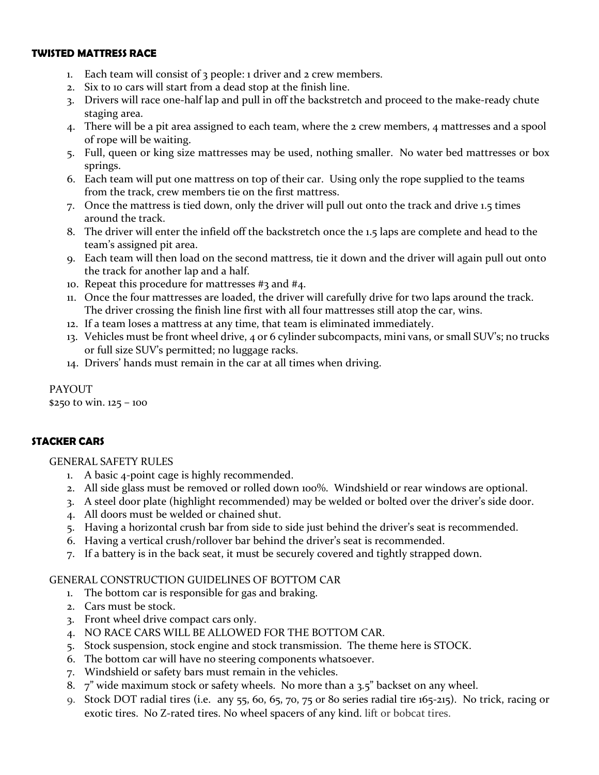### **TWISTED MATTRESS RACE**

- Each team will consist of 3 people: 1 driver and 2 crew members.
- 2. Six to 10 cars will start from a dead stop at the finish line.
- 3. Drivers will race one-half lap and pull in off the backstretch and proceed to the make-ready chute staging area.
- 4. There will be a pit area assigned to each team, where the 2 crew members, 4 mattresses and a spool of rope will be waiting.
- 5. Full, queen or king size mattresses may be used, nothing smaller. No water bed mattresses or box springs.
- 6. Each team will put one mattress on top of their car. Using only the rope supplied to the teams from the track, crew members tie on the first mattress.
- 7. Once the mattress is tied down, only the driver will pull out onto the track and drive 1.5 times around the track.
- 8. The driver will enter the infield off the backstretch once the 1.5 laps are complete and head to the team's assigned pit area.
- 9. Each team will then load on the second mattress, tie it down and the driver will again pull out onto the track for another lap and a half.
- 10. Repeat this procedure for mattresses #3 and #4.
- 11. Once the four mattresses are loaded, the driver will carefully drive for two laps around the track. The driver crossing the finish line first with all four mattresses still atop the car, wins.
- 12. If a team loses a mattress at any time, that team is eliminated immediately.
- 13. Vehicles must be front wheel drive, 4 or 6 cylinder subcompacts, mini vans, or small SUV's; no trucks or full size SUV's permitted; no luggage racks.
- 14. Drivers' hands must remain in the car at all times when driving.

PAYOUT

\$250 to win. 125 – 100

### **STACKER CARS**

### GENERAL SAFETY RULES

- 1. A basic 4-point cage is highly recommended.
- 2. All side glass must be removed or rolled down 100%. Windshield or rear windows are optional.
- 3. A steel door plate (highlight recommended) may be welded or bolted over the driver's side door.
- 4. All doors must be welded or chained shut.
- 5. Having a horizontal crush bar from side to side just behind the driver's seat is recommended.
- 6. Having a vertical crush/rollover bar behind the driver's seat is recommended.
- 7. If a battery is in the back seat, it must be securely covered and tightly strapped down.

### GENERAL CONSTRUCTION GUIDELINES OF BOTTOM CAR

- 1. The bottom car is responsible for gas and braking.
- 2. Cars must be stock.
- 3. Front wheel drive compact cars only.
- 4. NO RACE CARS WILL BE ALLOWED FOR THE BOTTOM CAR.
- 5. Stock suspension, stock engine and stock transmission. The theme here is STOCK.
- 6. The bottom car will have no steering components whatsoever.
- 7. Windshield or safety bars must remain in the vehicles.
- 8. 7" wide maximum stock or safety wheels. No more than a 3.5" backset on any wheel.
- 9. Stock DOT radial tires (i.e. any 55, 60, 65, 70, 75 or 80 series radial tire 165-215). No trick, racing or exotic tires. No Z-rated tires. No wheel spacers of any kind. lift or bobcat tires.